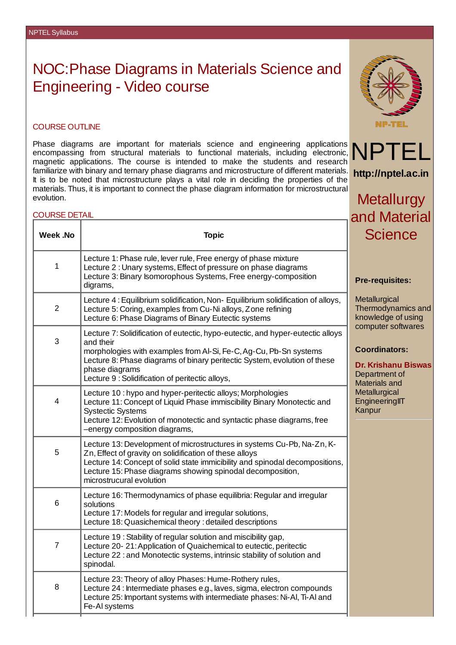## NOC:Phase Diagrams in Materials Science and Engineering - Video course



Phase diagrams are important for materials science and engineering applications encompassing from structural materials to functional materials, including electronic, magnetic applications. The course is intended to make the students and research familiarize with binary and ternary phase diagrams and microstructure of different materials. It is to be noted that microstructure plays a vital role in deciding the properties of the materials. Thus, it is important to connect the phase diagram information for microstructural evolution.

## COURSE DETAIL

| <b>COURSE DETAIL</b> | and Material                                                                                                                                                                                                                                                                                                         |                                                                                                                                                                                                                                                       |
|----------------------|----------------------------------------------------------------------------------------------------------------------------------------------------------------------------------------------------------------------------------------------------------------------------------------------------------------------|-------------------------------------------------------------------------------------------------------------------------------------------------------------------------------------------------------------------------------------------------------|
| Week .No             | <b>Topic</b>                                                                                                                                                                                                                                                                                                         | <b>Science</b>                                                                                                                                                                                                                                        |
| $\mathbf{1}$         | Lecture 1: Phase rule, lever rule, Free energy of phase mixture<br>Lecture 2 : Unary systems, Effect of pressure on phase diagrams<br>Lecture 3: Binary Isomorophous Systems, Free energy-composition<br>digrams,                                                                                                    | <b>Pre-requisites:</b><br>Metallurgical<br>Thermodynamics and<br>knowledge of using<br>computer softwares<br><b>Coordinators:</b><br><b>Dr. Krishanu Biswas</b><br>Department of<br><b>Materials and</b><br>Metallurgical<br>EngineeringIIT<br>Kanpur |
| $\overline{c}$       | Lecture 4: Equilibrium solidification, Non-Equilibrium solidification of alloys,<br>Lecture 5: Coring, examples from Cu-Ni alloys, Zone refining<br>Lecture 6: Phase Diagrams of Binary Eutectic systems                                                                                                             |                                                                                                                                                                                                                                                       |
| 3                    | Lecture 7: Solidification of eutectic, hypo-eutectic, and hyper-eutectic alloys<br>and their<br>morphologies with examples from Al-Si, Fe-C, Ag-Cu, Pb-Sn systems<br>Lecture 8: Phase diagrams of binary peritectic System, evolution of these<br>phase diagrams<br>Lecture 9 : Solidification of peritectic alloys, |                                                                                                                                                                                                                                                       |
| $\overline{4}$       | Lecture 10 : hypo and hyper-peritectic alloys; Morphologies<br>Lecture 11: Concept of Liquid Phase immiscibility Binary Monotectic and<br><b>Systectic Systems</b><br>Lecture 12: Evolution of monotectic and syntactic phase diagrams, free<br>-energy composition diagrams,                                        |                                                                                                                                                                                                                                                       |
| 5                    | Lecture 13: Development of microstructures in systems Cu-Pb, Na-Zn, K-<br>Zn, Effect of gravity on solidification of these alloys<br>Lecture 14: Concept of solid state immicibility and spinodal decompositions,<br>Lecture 15: Phase diagrams showing spinodal decomposition,<br>microstrucural evolution          |                                                                                                                                                                                                                                                       |
| 6                    | Lecture 16: Thermodynamics of phase equilibria: Regular and irregular<br>solutions<br>Lecture 17: Models for regular and irregular solutions,<br>Lecture 18: Quasichemical theory : detailed descriptions                                                                                                            |                                                                                                                                                                                                                                                       |
| $\overline{7}$       | Lecture 19: Stability of regular solution and miscibility gap,<br>Lecture 20-21: Application of Quaichemical to eutectic, peritectic<br>Lecture 22 : and Monotectic systems, intrinsic stability of solution and<br>spinodal.                                                                                        |                                                                                                                                                                                                                                                       |
| 8                    | Lecture 23: Theory of alloy Phases: Hume-Rothery rules,<br>Lecture 24 : Intermediate phases e.g., laves, sigma, electron compounds<br>Lecture 25: Important systems with intermediate phases: Ni-Al, Ti-Al and<br>Fe-Al systems                                                                                      |                                                                                                                                                                                                                                                       |



**http://nptel.ac.in**

**Metallurgy** 

NPT